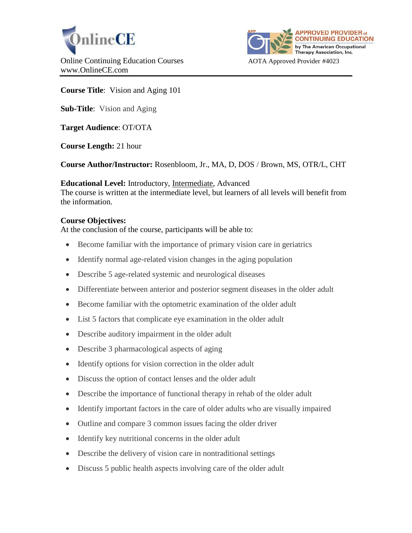



## **Course Title**: Vision and Aging 101

**Sub-Title**: Vision and Aging

**Target Audience**: OT/OTA

**Course Length:** 21 hour

**Course Author/Instructor:** Rosenbloom, Jr., MA, D, DOS / Brown, MS, OTR/L, CHT

**Educational Level:** Introductory, Intermediate, Advanced The course is written at the intermediate level, but learners of all levels will benefit from the information.

#### **Course Objectives:**

At the conclusion of the course, participants will be able to:

- Become familiar with the importance of primary vision care in geriatrics
- Identify normal age-related vision changes in the aging population
- Describe 5 age-related systemic and neurological diseases
- Differentiate between anterior and posterior segment diseases in the older adult
- Become familiar with the optometric examination of the older adult
- List 5 factors that complicate eye examination in the older adult
- Describe auditory impairment in the older adult
- Describe 3 pharmacological aspects of aging
- Identify options for vision correction in the older adult
- Discuss the option of contact lenses and the older adult
- Describe the importance of functional therapy in rehab of the older adult
- Identify important factors in the care of older adults who are visually impaired
- Outline and compare 3 common issues facing the older driver
- Identify key nutritional concerns in the older adult
- Describe the delivery of vision care in nontraditional settings
- Discuss 5 public health aspects involving care of the older adult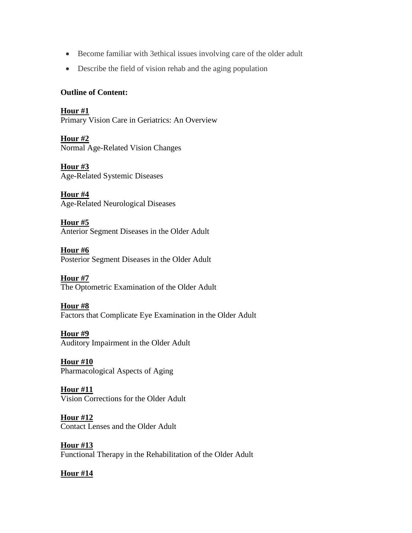- Become familiar with 3ethical issues involving care of the older adult
- Describe the field of vision rehab and the aging population

## **Outline of Content:**

**Hour #1** Primary Vision Care in Geriatrics: An Overview

**Hour #2** Normal Age-Related Vision Changes

**Hour #3** Age-Related Systemic Diseases

**Hour #4** Age-Related Neurological Diseases

**Hour #5** Anterior Segment Diseases in the Older Adult

**Hour #6** Posterior Segment Diseases in the Older Adult

**Hour #7** The Optometric Examination of the Older Adult

**Hour #8** Factors that Complicate Eye Examination in the Older Adult

**Hour #9** Auditory Impairment in the Older Adult

**Hour #10** Pharmacological Aspects of Aging

**Hour #11** Vision Corrections for the Older Adult

**Hour #12** Contact Lenses and the Older Adult

**Hour #13** Functional Therapy in the Rehabilitation of the Older Adult

# **Hour #14**